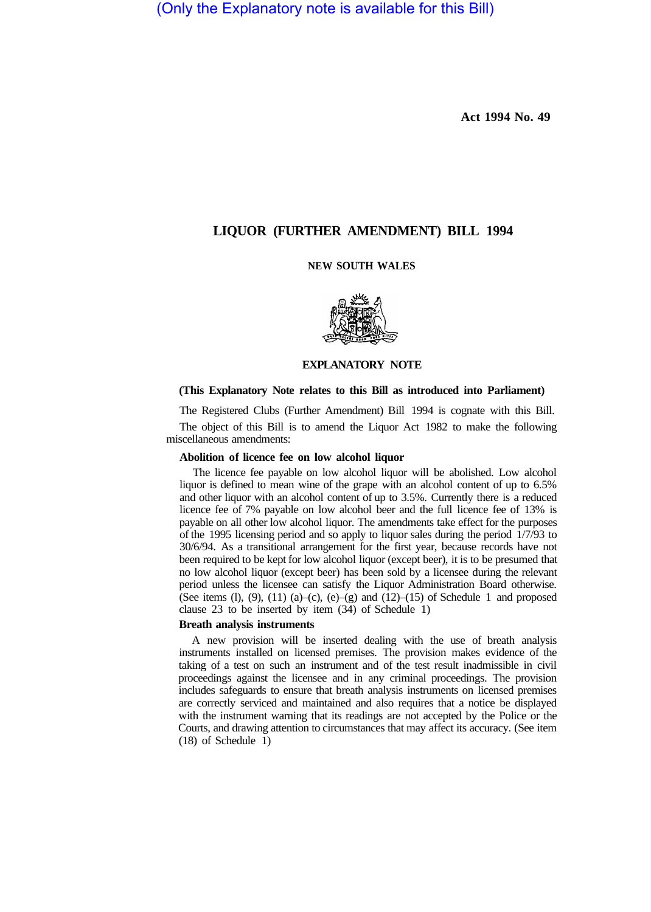(Only the Explanatory note is available for this Bill)

**Act 1994 No. 49** 

# **LIQUOR (FURTHER AMENDMENT) BILL 1994**

# **NEW SOUTH WALES**



# **EXPLANATORY NOTE**

### **(This Explanatory Note relates to this Bill as introduced into Parliament)**

The Registered Clubs (Further Amendment) Bill 1994 is cognate with this Bill.

The object of this Bill is to amend the Liquor Act 1982 to make the following miscellaneous amendments:

## **Abolition of licence fee on low alcohol liquor**

The licence fee payable on low alcohol liquor will be abolished. Low alcohol liquor is defined to mean wine of the grape with an alcohol content of up to 6.5% and other liquor with an alcohol content of up to 3.5%. Currently there is a reduced licence fee of 7% payable on low alcohol beer and the full licence fee of 13% is payable on all other low alcohol liquor. The amendments take effect for the purposes of the 1995 licensing period and so apply to liquor sales during the period 1/7/93 to 30/6/94. As a transitional arrangement for the first year, because records have not been required to be kept for low alcohol liquor (except beer), it is to be presumed that no low alcohol liquor (except beer) has been sold by a licensee during the relevant period unless the licensee can satisfy the Liquor Administration Board otherwise. (See items (l), (9), (11) (a)–(c), (e)–(g) and  $(12)$ –(15) of Schedule 1 and proposed clause 23 to be inserted by item (34) of Schedule 1)

## **Breath analysis instruments**

A new provision will be inserted dealing with the use of breath analysis instruments installed on licensed premises. The provision makes evidence of the taking of a test on such an instrument and of the test result inadmissible in civil proceedings against the licensee and in any criminal proceedings. The provision includes safeguards to ensure that breath analysis instruments on licensed premises are correctly serviced and maintained and also requires that a notice be displayed with the instrument warning that its readings are not accepted by the Police or the Courts, and drawing attention to circumstances that may affect its accuracy. (See item (18) of Schedule 1)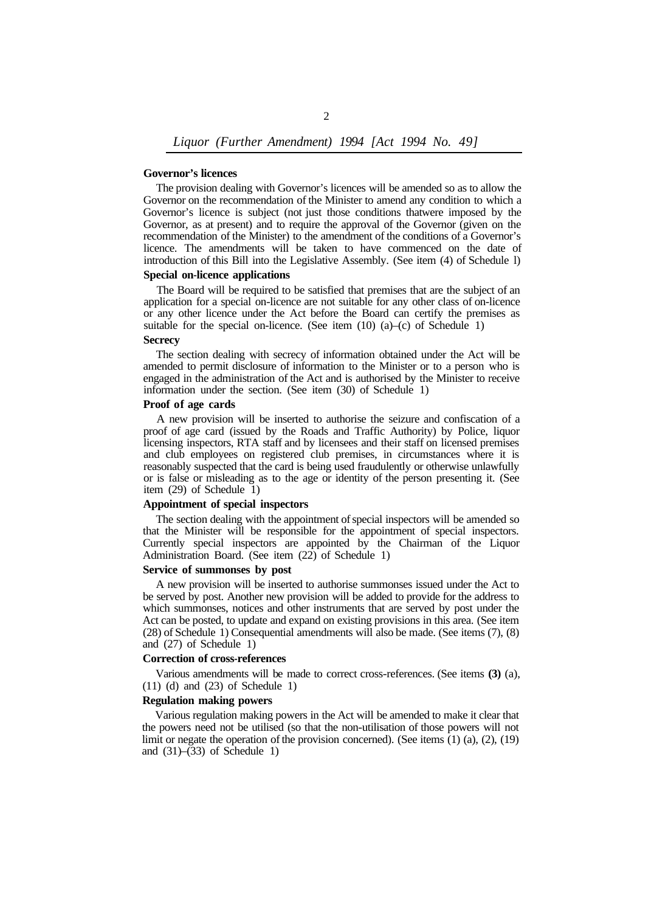# **Governor's licences**

The provision dealing with Governor's licences will be amended so as to allow the Governor on the recommendation of the Minister to amend any condition to which a Governor's licence is subject (not just those conditions that were imposed by the Governor, as at present) and to require the approval of the Governor (given on the recommendation of the Minister) to the amendment of the conditions of a Governor's licence. The amendments will be taken to have commenced on the date of introduction of this Bill into the Legislative Assembly. (See item (4) of Schedule l)

## **Special on-licence applications**

The Board will be required to be satisfied that premises that are the subject of an application for a special on-licence are not suitable for any other class of on-licence or any other licence under the Act before the Board can certify the premises as suitable for the special on-licence. (See item  $(10)$   $(a)$ – $(c)$  of Schedule 1)

### **Secrecy**

The section dealing with secrecy of information obtained under the Act will be amended to permit disclosure of information to the Minister or to a person who is engaged in the administration of the Act and is authorised by the Minister to receive information under the section. (See item (30) of Schedule 1)

#### **Proof of age cards**

A new provision will be inserted to authorise the seizure and confiscation of a proof of age card (issued by the Roads and Traffic Authority) by Police, liquor licensing inspectors, RTA staff and by licensees and their staff on licensed premises and club employees on registered club premises, in circumstances where it is reasonably suspected that the card is being used fraudulently or otherwise unlawfully or is false or misleading as to the age or identity of the person presenting it. (See item (29) of Schedule 1)

## **Appointment of special inspectors**

The section dealing with the appointment of special inspectors will be amended so that the Minister will be responsible for the appointment of special inspectors. Currently special inspectors are appointed by the Chairman of the Liquor Administration Board. (See item (22) of Schedule 1)

## **Service of summonses by post**

A new provision will be inserted to authorise summonses issued under the Act to be served by post. Another new provision will be added to provide for the address to which summonses, notices and other instruments that are served by post under the Act can be posted, to update and expand on existing provisions in this area. (See item (28) of Schedule 1) Consequential amendments will also be made. (See items (7), (8) and (27) of Schedule 1)

### **Correction of cross-references**

(11) (d) and (23) of Schedule 1) Various amendments will be made to correct cross-references. (See items **(3)** (a),

# **Regulation making powers**

Various regulation making powers in the Act will be amended to make it clear that the powers need not be utilised (so that the non-utilisation of those powers will not limit or negate the operation of the provision concerned). (See items  $(1)$   $(a)$ ,  $(2)$ ,  $(19)$ and  $(31)$ – $(33)$  of Schedule 1)